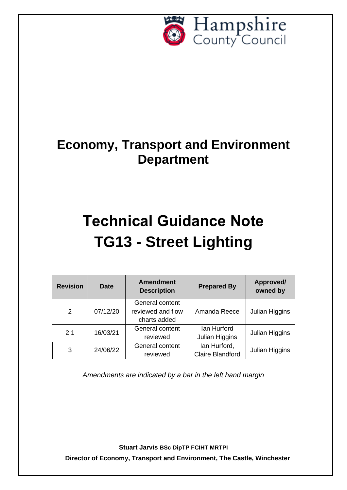

## **Economy, Transport and Environment Department**

# **Technical Guidance Note TG13 - Street Lighting**

| <b>Revision</b> | <b>Date</b> | <b>Amendment</b><br><b>Description</b>               | <b>Prepared By</b>                      | Approved/<br>owned by |
|-----------------|-------------|------------------------------------------------------|-----------------------------------------|-----------------------|
| 2               | 07/12/20    | General content<br>reviewed and flow<br>charts added | Amanda Reece                            | Julian Higgins        |
| 2.1             | 16/03/21    | General content<br>reviewed                          | lan Hurford<br>Julian Higgins           | Julian Higgins        |
| 3               | 24/06/22    | General content<br>reviewed                          | lan Hurford,<br><b>Claire Blandford</b> | Julian Higgins        |

*Amendments are indicated by a bar in the left hand margin*

**Stuart Jarvis BSc DipTP FCIHT MRTPI Director of Economy, Transport and Environment, The Castle, Winchester**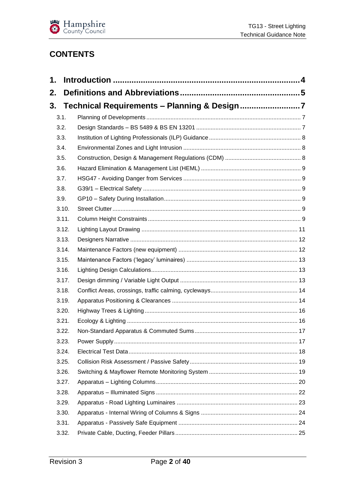

## **CONTENTS**

| 1. |       |  |
|----|-------|--|
| 2. |       |  |
| 3. |       |  |
|    | 3.1.  |  |
|    | 3.2.  |  |
|    | 3.3.  |  |
|    | 3.4.  |  |
|    | 3.5.  |  |
|    | 3.6.  |  |
|    | 3.7.  |  |
|    | 3.8.  |  |
|    | 3.9.  |  |
|    | 3.10. |  |
|    | 3.11. |  |
|    | 3.12. |  |
|    | 3.13. |  |
|    | 3.14. |  |
|    | 3.15. |  |
|    | 3.16. |  |
|    | 3.17. |  |
|    | 3.18. |  |
|    | 3.19. |  |
|    | 3.20. |  |
|    | 3.21. |  |
|    | 3.22. |  |
|    | 3.23. |  |
|    | 3.24. |  |
|    | 3.25. |  |
|    | 3.26. |  |
|    | 3.27. |  |
|    | 3.28. |  |
|    | 3.29. |  |
|    | 3.30. |  |
|    | 3.31. |  |
|    | 3.32. |  |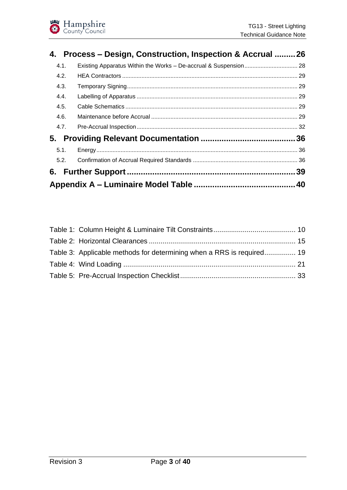|      | 4. Process – Design, Construction, Inspection & Accrual 26 |     |
|------|------------------------------------------------------------|-----|
| 4.1. |                                                            |     |
| 4.2. |                                                            |     |
| 4.3. |                                                            |     |
| 4.4. |                                                            |     |
| 4.5. |                                                            |     |
| 4.6. |                                                            |     |
| 4.7. |                                                            |     |
|      |                                                            |     |
| 5.1. |                                                            |     |
| 5.2. |                                                            |     |
|      |                                                            | .39 |
|      |                                                            |     |

| Table 3: Applicable methods for determining when a RRS is required 19 |  |
|-----------------------------------------------------------------------|--|
|                                                                       |  |
|                                                                       |  |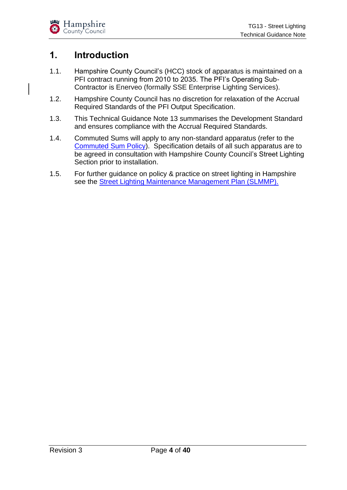## <span id="page-3-0"></span>**1. Introduction**

- 1.1. Hampshire County Council's (HCC) stock of apparatus is maintained on a PFI contract running from 2010 to 2035. The PFI's Operating Sub-Contractor is Enerveo (formally SSE Enterprise Lighting Services).
- 1.2. Hampshire County Council has no discretion for relaxation of the Accrual Required Standards of the PFI Output Specification.
- 1.3. This Technical Guidance Note 13 summarises the Development Standard and ensures compliance with the Accrual Required Standards.
- 1.4. Commuted Sums will apply to any non-standard apparatus (refer to the [Commuted Sum Policy\)](https://www.hants.gov.uk/transport/developers/commuted-sums). Specification details of all such apparatus are to be agreed in consultation with Hampshire County Council's Street Lighting Section prior to installation.
- 1.5. For further guidance on policy & practice on street lighting in Hampshire see the [Street Lighting Maintenance Management Plan \(SLMMP\).](http://documents.hants.gov.uk/street-lighting/StreetLightingMaintenanceManagementPlan.pdf)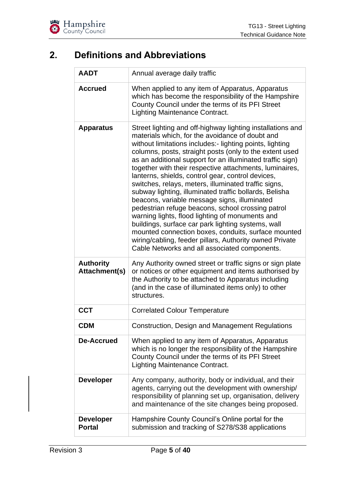## <span id="page-4-0"></span>**2. Definitions and Abbreviations**

| <b>AADT</b>                                           | Annual average daily traffic                                                                                                                                                                                                                                                                                                                                                                                                                                                                                                                                                                                                                                                                                                                                                                                                                                                                                                                                                                                                                                                                                                                              |
|-------------------------------------------------------|-----------------------------------------------------------------------------------------------------------------------------------------------------------------------------------------------------------------------------------------------------------------------------------------------------------------------------------------------------------------------------------------------------------------------------------------------------------------------------------------------------------------------------------------------------------------------------------------------------------------------------------------------------------------------------------------------------------------------------------------------------------------------------------------------------------------------------------------------------------------------------------------------------------------------------------------------------------------------------------------------------------------------------------------------------------------------------------------------------------------------------------------------------------|
| <b>Accrued</b>                                        | When applied to any item of Apparatus, Apparatus<br>which has become the responsibility of the Hampshire<br>County Council under the terms of its PFI Street<br><b>Lighting Maintenance Contract.</b>                                                                                                                                                                                                                                                                                                                                                                                                                                                                                                                                                                                                                                                                                                                                                                                                                                                                                                                                                     |
| <b>Apparatus</b><br><b>Authority</b><br>Attachment(s) | Street lighting and off-highway lighting installations and<br>materials which, for the avoidance of doubt and<br>without limitations includes:- lighting points, lighting<br>columns, posts, straight posts (only to the extent used<br>as an additional support for an illuminated traffic sign)<br>together with their respective attachments, luminaires,<br>lanterns, shields, control gear, control devices,<br>switches, relays, meters, illuminated traffic signs,<br>subway lighting, illuminated traffic bollards, Belisha<br>beacons, variable message signs, illuminated<br>pedestrian refuge beacons, school crossing patrol<br>warning lights, flood lighting of monuments and<br>buildings, surface car park lighting systems, wall<br>mounted connection boxes, conduits, surface mounted<br>wiring/cabling, feeder pillars, Authority owned Private<br>Cable Networks and all associated components.<br>Any Authority owned street or traffic signs or sign plate<br>or notices or other equipment and items authorised by<br>the Authority to be attached to Apparatus including<br>(and in the case of illuminated items only) to other |
|                                                       | structures.                                                                                                                                                                                                                                                                                                                                                                                                                                                                                                                                                                                                                                                                                                                                                                                                                                                                                                                                                                                                                                                                                                                                               |
| <b>CCT</b>                                            | <b>Correlated Colour Temperature</b>                                                                                                                                                                                                                                                                                                                                                                                                                                                                                                                                                                                                                                                                                                                                                                                                                                                                                                                                                                                                                                                                                                                      |
| <b>CDM</b>                                            | Construction, Design and Management Regulations                                                                                                                                                                                                                                                                                                                                                                                                                                                                                                                                                                                                                                                                                                                                                                                                                                                                                                                                                                                                                                                                                                           |
| De-Accrued                                            | When applied to any item of Apparatus, Apparatus<br>which is no longer the responsibility of the Hampshire<br>County Council under the terms of its PFI Street<br><b>Lighting Maintenance Contract.</b>                                                                                                                                                                                                                                                                                                                                                                                                                                                                                                                                                                                                                                                                                                                                                                                                                                                                                                                                                   |
| <b>Developer</b>                                      | Any company, authority, body or individual, and their<br>agents, carrying out the development with ownership/<br>responsibility of planning set up, organisation, delivery<br>and maintenance of the site changes being proposed.                                                                                                                                                                                                                                                                                                                                                                                                                                                                                                                                                                                                                                                                                                                                                                                                                                                                                                                         |
| <b>Developer</b><br><b>Portal</b>                     | Hampshire County Council's Online portal for the<br>submission and tracking of S278/S38 applications                                                                                                                                                                                                                                                                                                                                                                                                                                                                                                                                                                                                                                                                                                                                                                                                                                                                                                                                                                                                                                                      |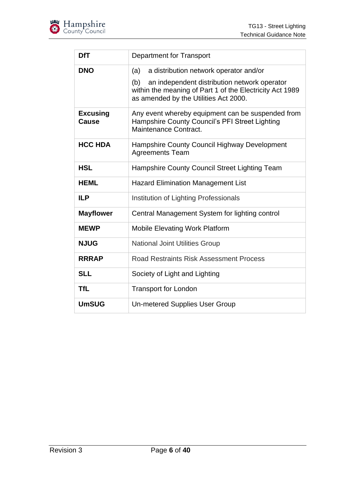

| <b>DfT</b>               | Department for Transport                                                                                                                                 |
|--------------------------|----------------------------------------------------------------------------------------------------------------------------------------------------------|
| <b>DNO</b>               | a distribution network operator and/or<br>(a)                                                                                                            |
|                          | (b)<br>an independent distribution network operator<br>within the meaning of Part 1 of the Electricity Act 1989<br>as amended by the Utilities Act 2000. |
| <b>Excusing</b><br>Cause | Any event whereby equipment can be suspended from<br>Hampshire County Council's PFI Street Lighting<br>Maintenance Contract.                             |
| <b>HCC HDA</b>           | Hampshire County Council Highway Development<br><b>Agreements Team</b>                                                                                   |
| <b>HSL</b>               | Hampshire County Council Street Lighting Team                                                                                                            |
| <b>HEML</b>              | <b>Hazard Elimination Management List</b>                                                                                                                |
| <b>ILP</b>               | Institution of Lighting Professionals                                                                                                                    |
| <b>Mayflower</b>         | Central Management System for lighting control                                                                                                           |
| <b>MEWP</b>              | <b>Mobile Elevating Work Platform</b>                                                                                                                    |
| <b>NJUG</b>              | <b>National Joint Utilities Group</b>                                                                                                                    |
| <b>RRRAP</b>             | Road Restraints Risk Assessment Process                                                                                                                  |
| <b>SLL</b>               | Society of Light and Lighting                                                                                                                            |
| <b>TfL</b>               | <b>Transport for London</b>                                                                                                                              |
| <b>UmSUG</b>             | Un-metered Supplies User Group                                                                                                                           |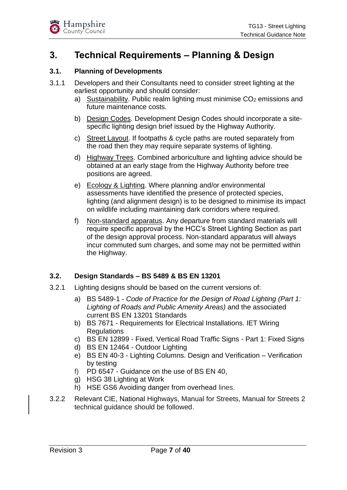## <span id="page-6-0"></span>**3. Technical Requirements – Planning & Design**

#### <span id="page-6-1"></span>**3.1. Planning of Developments**

- 3.1.1 Developers and their Consultants need to consider street lighting at the earliest opportunity and should consider:
	- a) Sustainability. Public realm lighting must minimise  $CO<sub>2</sub>$  emissions and future maintenance costs.
	- b) Design Codes. Development Design Codes should incorporate a sitespecific lighting design brief issued by the Highway Authority.
	- c) Street Layout. If footpaths & cycle paths are routed separately from the road then they may require separate systems of lighting.
	- d) Highway Trees. Combined arboriculture and lighting advice should be obtained at an early stage from the Highway Authority before tree positions are agreed.
	- e) Ecology & Lighting. Where planning and/or environmental assessments have identified the presence of protected species, lighting (and alignment design) is to be designed to minimise its impact on wildlife including maintaining dark corridors where required.
	- f) Non-standard apparatus. Any departure from standard materials will require specific approval by the HCC's Street Lighting Section as part of the design approval process. Non-standard apparatus will always incur commuted sum charges, and some may not be permitted within the Highway.

#### <span id="page-6-2"></span>**3.2. Design Standards – BS 5489 & BS EN 13201**

- 3.2.1 Lighting designs should be based on the current versions of:
	- a) BS 5489-1 *Code of Practice for the Design of Road Lighting (Part 1: Lighting of Roads and Public Amenity Areas)* and the associated current BS EN 13201 Standards
	- b) BS 7671 Requirements for Electrical Installations. IET Wiring **Regulations**
	- c) BS EN 12899 Fixed, Vertical Road Traffic Signs Part 1: Fixed Signs
	- d) BS EN 12464 Outdoor Lighting
	- e) BS EN 40-3 Lighting Columns. Design and Verification Verification by testing
	- f) PD 6547 Guidance on the use of BS EN 40,
	- g) HSG 38 Lighting at Work
	- h) HSE GS6 Avoiding danger from overhead lines.
- 3.2.2 Relevant CIE, National Highways, Manual for Streets, Manual for Streets 2 technical guidance should be followed.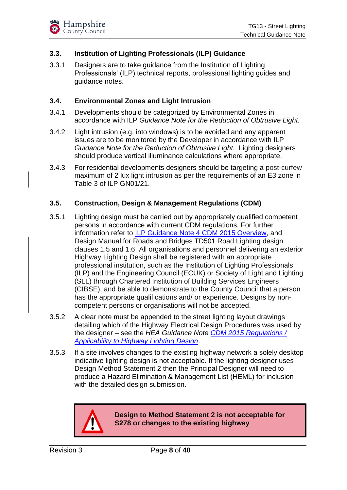#### <span id="page-7-0"></span>**3.3. Institution of Lighting Professionals (ILP) Guidance**

3.3.1 Designers are to take guidance from the Institution of Lighting Professionals' (ILP) technical reports, professional lighting guides and guidance notes.

#### <span id="page-7-1"></span>**3.4. Environmental Zones and Light Intrusion**

- 3.4.1 Developments should be categorized by Environmental Zones in accordance with ILP *Guidance Note for the Reduction of Obtrusive Light.*
- 3.4.2 Light intrusion (e.g. into windows) is to be avoided and any apparent issues are to be monitored by the Developer in accordance with ILP *Guidance Note for the Reduction of Obtrusive Light*. Lighting designers should produce vertical illuminance calculations where appropriate.
- 3.4.3 For residential developments designers should be targeting a post-curfew maximum of 2 lux light intrusion as per the requirements of an E3 zone in Table 3 of ILP GN01/21.

#### <span id="page-7-2"></span>**3.5. Construction, Design & Management Regulations (CDM)**

- 3.5.1 Lighting design must be carried out by appropriately qualified competent persons in accordance with current CDM regulations. For further information refer to [ILP Guidance Note 4 CDM 2015 Overview,](https://www.theilp.org.uk/documents/guidance-note-4-cdm-2015-overview/) and Design Manual for Roads and Bridges TD501 Road Lighting design clauses 1.5 and 1.6. All organisations and personnel delivering an exterior Highway Lighting Design shall be registered with an appropriate professional institution, such as the Institution of Lighting Professionals (ILP) and the Engineering Council (ECUK) or Society of Light and Lighting (SLL) through Chartered Institution of Building Services Engineers (CIBSE), and be able to demonstrate to the County Council that a person has the appropriate qualifications and/ or experience*.* Designs by noncompetent persons or organisations will not be accepted.
- 3.5.2 A clear note must be appended to the street lighting layout drawings detailing which of the Highway Electrical Design Procedures was used by the designer – see the *HEA Guidance Note [CDM 2015 Regulations /](https://thehea.org.uk/hea-content/uploads/2019/10/HEA-Guidance-Note-CDM-2015.pdf)  [Applicability to Highway Lighting Design](https://thehea.org.uk/hea-content/uploads/2019/10/HEA-Guidance-Note-CDM-2015.pdf)*.
- 3.5.3 If a site involves changes to the existing highway network a solely desktop indicative lighting design is not acceptable. If the lighting designer uses Design Method Statement 2 then the Principal Designer will need to produce a Hazard Elimination & Management List (HEML) for inclusion with the detailed design submission.



**Design to Method Statement 2 is not acceptable for S278 or changes to the existing highway**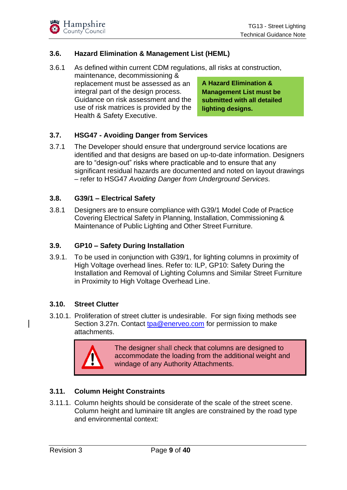#### <span id="page-8-0"></span>**3.6. Hazard Elimination & Management List (HEML)**

3.6.1 As defined within current CDM regulations, all risks at construction,

maintenance, decommissioning & replacement must be assessed as an integral part of the design process. Guidance on risk assessment and the use of risk matrices is provided by the Health & Safety Executive.

**A Hazard Elimination & Management List must be submitted with all detailed lighting designs.**

#### <span id="page-8-1"></span>**3.7. HSG47 - Avoiding Danger from Services**

3.7.1 The Developer should ensure that underground service locations are identified and that designs are based on up-to-date information. Designers are to "design-out" risks where practicable and to ensure that any significant residual hazards are documented and noted on layout drawings – refer to HSG47 *Avoiding Danger from Underground Services.*

#### <span id="page-8-2"></span>**3.8. G39/1 – Electrical Safety**

3.8.1 Designers are to ensure compliance with G39/1 Model Code of Practice Covering Electrical Safety in Planning, Installation, Commissioning & Maintenance of Public Lighting and Other Street Furniture.

#### <span id="page-8-3"></span>**3.9. GP10 – Safety During Installation**

3.9.1. To be used in conjunction with G39/1, for lighting columns in proximity of High Voltage overhead lines. Refer to: ILP, GP10: Safety During the Installation and Removal of Lighting Columns and Similar Street Furniture in Proximity to High Voltage Overhead Line.

#### <span id="page-8-4"></span>**3.10. Street Clutter**

3.10.1. Proliferation of street clutter is undesirable. For sign fixing methods see Section 3.27n. Contact [tpa@enerveo.com](mailto:tpa@enerveo.com) for permission to make attachments.



The designer shall check that columns are designed to accommodate the loading from the additional weight and windage of any Authority Attachments.

#### <span id="page-8-5"></span>**3.11. Column Height Constraints**

3.11.1. Column heights should be considerate of the scale of the street scene. Column height and luminaire tilt angles are constrained by the road type and environmental context: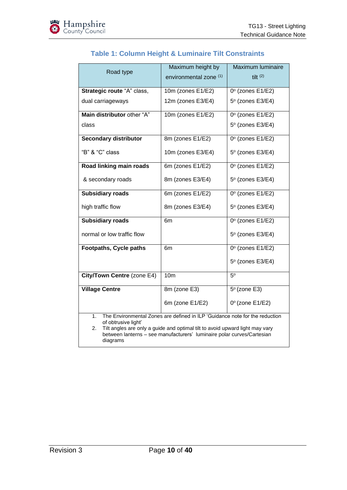<span id="page-9-0"></span>

| Road type                                   | Maximum height by<br>environmental zone (1)                                                                                                                                                                                           | Maximum luminaire<br>tilt $(2)$ |
|---------------------------------------------|---------------------------------------------------------------------------------------------------------------------------------------------------------------------------------------------------------------------------------------|---------------------------------|
| Strategic route "A" class,                  | 10m (zones E1/E2)                                                                                                                                                                                                                     | $0^\circ$ (zones E1/E2)         |
| dual carriageways                           | 12m (zones E3/E4)                                                                                                                                                                                                                     | $5^\circ$ (zones E3/E4)         |
| Main distributor other "A"                  | 10m (zones E1/E2)                                                                                                                                                                                                                     | $0^\circ$ (zones E1/E2)         |
| class                                       |                                                                                                                                                                                                                                       | 5° (zones E3/E4)                |
| <b>Secondary distributor</b>                | 8m (zones E1/E2)                                                                                                                                                                                                                      | $0^\circ$ (zones E1/E2)         |
| "B" & "C" class                             | 10m (zones E3/E4)                                                                                                                                                                                                                     | $5^\circ$ (zones E3/E4)         |
| Road linking main roads                     | 6m (zones E1/E2)                                                                                                                                                                                                                      | $0^\circ$ (zones E1/E2)         |
| & secondary roads                           | 8m (zones E3/E4)                                                                                                                                                                                                                      | $5^\circ$ (zones E3/E4)         |
| <b>Subsidiary roads</b>                     | 6m (zones E1/E2)                                                                                                                                                                                                                      | $0^\circ$ (zones E1/E2)         |
| high traffic flow                           | 8m (zones E3/E4)                                                                                                                                                                                                                      | $5^\circ$ (zones E3/E4)         |
| <b>Subsidiary roads</b>                     | 6m                                                                                                                                                                                                                                    | $0^\circ$ (zones E1/E2)         |
| normal or low traffic flow                  |                                                                                                                                                                                                                                       | $5^\circ$ (zones E3/E4)         |
| <b>Footpaths, Cycle paths</b>               | 6m                                                                                                                                                                                                                                    | $0^\circ$ (zones E1/E2)         |
|                                             |                                                                                                                                                                                                                                       | $5^\circ$ (zones E3/E4)         |
| City/Town Centre (zone E4)                  | 10 <sub>m</sub>                                                                                                                                                                                                                       | $5^\circ$                       |
| <b>Village Centre</b>                       | 8m (zone E3)                                                                                                                                                                                                                          | $5^\circ$ (zone E3)             |
|                                             | 6m (zone E1/E2)                                                                                                                                                                                                                       | $0^\circ$ (zone E1/E2)          |
| 1.<br>of obtrusive light'<br>2.<br>diagrams | The Environmental Zones are defined in ILP 'Guidance note for the reduction<br>Tilt angles are only a guide and optimal tilt to avoid upward light may vary<br>between lanterns - see manufacturers' luminaire polar curves/Cartesian |                                 |

#### **Table 1: Column Height & Luminaire Tilt Constraints**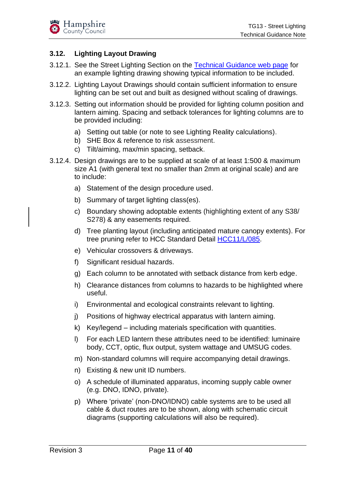#### <span id="page-10-0"></span>**3.12. Lighting Layout Drawing**

- 3.12.1. See the Street Lighting Section on the [Technical Guidance web page](https://www.hants.gov.uk/transport/developers/technical-guidance) for an example lighting drawing showing typical information to be included.
- 3.12.2. Lighting Layout Drawings should contain sufficient information to ensure lighting can be set out and built as designed without scaling of drawings.
- 3.12.3. Setting out information should be provided for lighting column position and lantern aiming. Spacing and setback tolerances for lighting columns are to be provided including:
	- a) Setting out table (or note to see Lighting Reality calculations).
	- b) SHE Box & reference to risk assessment.
	- c) Tilt/aiming, max/min spacing, setback.
- 3.12.4. Design drawings are to be supplied at scale of at least 1:500 & maximum size A1 (with general text no smaller than 2mm at original scale) and are to include:
	- a) Statement of the design procedure used.
	- b) Summary of target lighting class(es).
	- c) Boundary showing adoptable extents (highlighting extent of any S38/ S278) & any easements required.
	- d) Tree planting layout (including anticipated mature canopy extents). For tree pruning refer to HCC Standard Detail [HCC11/L/085.](https://www.hants.gov.uk/transport/developers/standard-details)
	- e) Vehicular crossovers & driveways.
	- f) Significant residual hazards.
	- g) Each column to be annotated with setback distance from kerb edge.
	- h) Clearance distances from columns to hazards to be highlighted where useful.
	- i) Environmental and ecological constraints relevant to lighting.
	- j) Positions of highway electrical apparatus with lantern aiming.
	- k) Key/legend including materials specification with quantities.
	- l) For each LED lantern these attributes need to be identified: luminaire body, CCT, optic, flux output, system wattage and UMSUG codes.
	- m) Non-standard columns will require accompanying detail drawings.
	- n) Existing & new unit ID numbers.
	- o) A schedule of illuminated apparatus, incoming supply cable owner (e.g. DNO, IDNO, private).
	- p) Where 'private' (non-DNO/IDNO) cable systems are to be used all cable & duct routes are to be shown, along with schematic circuit diagrams (supporting calculations will also be required).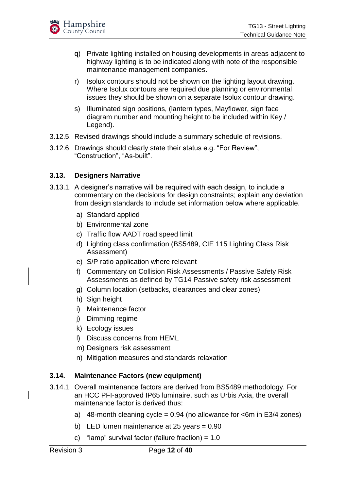

- q) Private lighting installed on housing developments in areas adjacent to highway lighting is to be indicated along with note of the responsible maintenance management companies.
- r) Isolux contours should not be shown on the lighting layout drawing. Where Isolux contours are required due planning or environmental issues they should be shown on a separate Isolux contour drawing.
- s) Illuminated sign positions, (lantern types, Mayflower, sign face diagram number and mounting height to be included within Key / Legend).
- 3.12.5. Revised drawings should include a summary schedule of revisions.
- 3.12.6. Drawings should clearly state their status e.g. "For Review", "Construction", "As-built".

#### <span id="page-11-0"></span>**3.13. Designers Narrative**

- 3.13.1. A designer's narrative will be required with each design, to include a commentary on the decisions for design constraints; explain any deviation from design standards to include set information below where applicable.
	- a) Standard applied
	- b) Environmental zone
	- c) Traffic flow AADT road speed limit
	- d) Lighting class confirmation (BS5489, CIE 115 Lighting Class Risk Assessment)
	- e) S/P ratio application where relevant
	- f) Commentary on Collision Risk Assessments / Passive Safety Risk Assessments as defined by TG14 Passive safety risk assessment
	- g) Column location (setbacks, clearances and clear zones)
	- h) Sign height
	- i) Maintenance factor
	- j) Dimming regime
	- k) Ecology issues
	- l) Discuss concerns from HEML
	- m) Designers risk assessment
	- n) Mitigation measures and standards relaxation

#### <span id="page-11-1"></span>**3.14. Maintenance Factors (new equipment)**

- 3.14.1. Overall maintenance factors are derived from BS5489 methodology. For an HCC PFI-approved IP65 luminaire, such as Urbis Axia, the overall maintenance factor is derived thus:
	- a) 48-month cleaning cycle =  $0.94$  (no allowance for  $\leq 6$ m in E3/4 zones)
	- b) LED lumen maintenance at 25 years = 0.90
	- c) "lamp" survival factor (failure fraction) = 1.0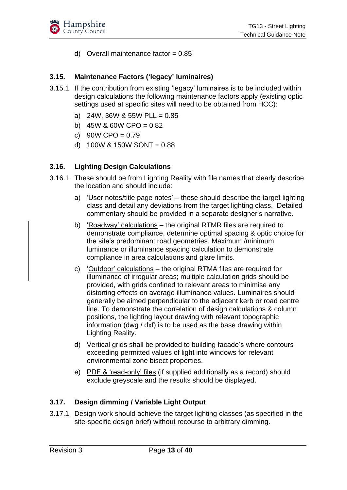d) Overall maintenance factor  $= 0.85$ 

#### <span id="page-12-0"></span>**3.15. Maintenance Factors ('legacy' luminaires)**

- 3.15.1. If the contribution from existing 'legacy' luminaires is to be included within design calculations the following maintenance factors apply (existing optic settings used at specific sites will need to be obtained from HCC):
	- a)  $24W$ ,  $36W$  &  $55W$  PLL =  $0.85$
	- b)  $45W$  & 60W CPO = 0.82
	- c)  $90W$  CPO = 0.79
	- d)  $100W$  &  $150W$  SONT = 0.88

#### <span id="page-12-1"></span>**3.16. Lighting Design Calculations**

- 3.16.1. These should be from Lighting Reality with file names that clearly describe the location and should include:
	- a) 'User notes/title page notes' these should describe the target lighting class and detail any deviations from the target lighting class. Detailed commentary should be provided in a separate designer's narrative.
	- b) 'Roadway' calculations the original RTMR files are required to demonstrate compliance, determine optimal spacing & optic choice for the site's predominant road geometries. Maximum /minimum luminance or illuminance spacing calculation to demonstrate compliance in area calculations and glare limits.
	- c) 'Outdoor' calculations the original RTMA files are required for illuminance of irregular areas; multiple calculation grids should be provided, with grids confined to relevant areas to minimise any distorting effects on average illuminance values. Luminaires should generally be aimed perpendicular to the adjacent kerb or road centre line. To demonstrate the correlation of design calculations & column positions, the lighting layout drawing with relevant topographic information (dwg / dxf) is to be used as the base drawing within Lighting Reality.
	- d) Vertical grids shall be provided to building facade's where contours exceeding permitted values of light into windows for relevant environmental zone bisect properties.
	- e) PDF & 'read-only' files (if supplied additionally as a record) should exclude greyscale and the results should be displayed.

#### <span id="page-12-2"></span>**3.17. Design dimming / Variable Light Output**

3.17.1. Design work should achieve the target lighting classes (as specified in the site-specific design brief) without recourse to arbitrary dimming.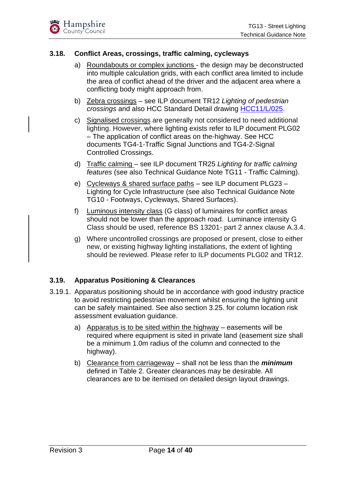#### <span id="page-13-0"></span>**3.18. Conflict Areas, crossings, traffic calming, cycleways**

- a) Roundabouts or complex junctions the design may be deconstructed into multiple calculation grids, with each conflict area limited to include the area of conflict ahead of the driver and the adjacent area where a conflicting body might approach from.
- b) Zebra crossings see ILP document TR12 *Lighting of pedestrian crossings* and also HCC Standard Detail drawing [HCC11/L/025.](https://www.hants.gov.uk/transport/developers/standard-details)
- c) Signalised crossings are generally not considered to need additional lighting. However, where lighting exists refer to ILP document PLG02 – The application of conflict areas on the-highway. See HCC documents TG4-1-Traffic Signal Junctions and TG4-2-Signal Controlled Crossings.
- d) Traffic calming see ILP document TR25 *Lighting for traffic calming features* (see also Technical Guidance Note TG11 - Traffic Calming).
- e) Cycleways & shared surface paths see ILP document PLG23 Lighting for Cycle Infrastructure (see also Technical Guidance Note TG10 - Footways, Cycleways, Shared Surfaces).
- f) Luminous intensity class (G class) of luminaires for conflict areas should not be lower than the approach road. Luminance intensity G Class should be used, reference BS 13201- part 2 annex clause A.3.4.
- g) Where uncontrolled crossings are proposed or present, close to either new, or existing highway lighting installations, the extent of lighting should be reviewed. Please refer to ILP documents PLG02 and TR12.

#### <span id="page-13-1"></span>**3.19. Apparatus Positioning & Clearances**

- 3.19.1. Apparatus positioning should be in accordance with good industry practice to avoid restricting pedestrian movement whilst ensuring the lighting unit can be safely maintained. See also section 3.25. for column location risk assessment evaluation guidance.
	- a) Apparatus is to be sited within the highway easements will be required where equipment is sited in private land (easement size shall be a minimum 1.0m radius of the column and connected to the highway).
	- b) Clearance from carriageway shall not be less than the *minimum* defined in Table 2. Greater clearances may be desirable. All clearances are to be itemised on detailed design layout drawings.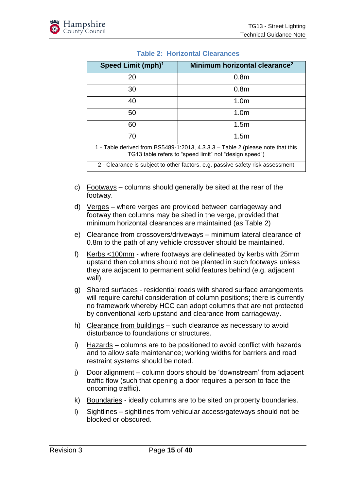<span id="page-14-0"></span>

| Speed Limit (mph) <sup>1</sup>                                                                                                           | Minimum horizontal clearance <sup>2</sup>                                      |  |  |  |
|------------------------------------------------------------------------------------------------------------------------------------------|--------------------------------------------------------------------------------|--|--|--|
| 20                                                                                                                                       | 0.8 <sub>m</sub>                                                               |  |  |  |
| 30                                                                                                                                       | 0.8 <sub>m</sub>                                                               |  |  |  |
| 40                                                                                                                                       | 1.0 <sub>m</sub>                                                               |  |  |  |
| 50                                                                                                                                       | 1.0 <sub>m</sub>                                                               |  |  |  |
| 60                                                                                                                                       | 1.5 <sub>m</sub>                                                               |  |  |  |
| 70                                                                                                                                       | 1.5 <sub>m</sub>                                                               |  |  |  |
| 1 - Table derived from BS5489-1:2013, 4.3.3.3 - Table 2 (please note that this<br>TG13 table refers to "speed limit" not "design speed") |                                                                                |  |  |  |
|                                                                                                                                          | 2 - Clearance is subject to other factors, e.g. passive safety risk assessment |  |  |  |

#### **Table 2: Horizontal Clearances**

- c) Footways columns should generally be sited at the rear of the footway.
- d) Verges where verges are provided between carriageway and footway then columns may be sited in the verge, provided that minimum horizontal clearances are maintained (as Table 2)
- e) Clearance from crossovers/driveways minimum lateral clearance of 0.8m to the path of any vehicle crossover should be maintained.
- f) Kerbs <100mm where footways are delineated by kerbs with 25mm upstand then columns should not be planted in such footways unless they are adjacent to permanent solid features behind (e.g. adjacent wall).
- g) Shared surfaces residential roads with shared surface arrangements will require careful consideration of column positions; there is currently no framework whereby HCC can adopt columns that are not protected by conventional kerb upstand and clearance from carriageway.
- h) Clearance from buildings such clearance as necessary to avoid disturbance to foundations or structures.
- i) Hazards columns are to be positioned to avoid conflict with hazards and to allow safe maintenance; working widths for barriers and road restraint systems should be noted.
- j) Door alignment column doors should be 'downstream' from adjacent traffic flow (such that opening a door requires a person to face the oncoming traffic).
- k) Boundaries ideally columns are to be sited on property boundaries.
- l) Sightlines sightlines from vehicular access/gateways should not be blocked or obscured.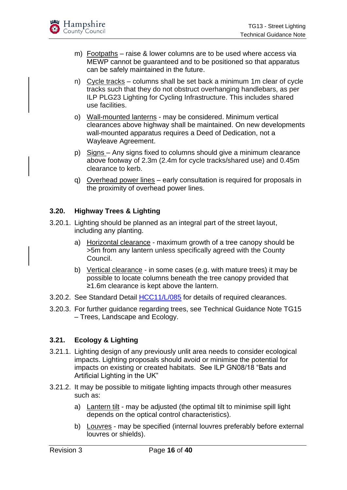- m) Footpaths raise & lower columns are to be used where access via MEWP cannot be guaranteed and to be positioned so that apparatus can be safely maintained in the future.
- n) Cycle tracks columns shall be set back a minimum 1m clear of cycle tracks such that they do not obstruct overhanging handlebars, as per ILP PLG23 Lighting for Cycling Infrastructure. This includes shared use facilities.
- o) Wall-mounted lanterns may be considered. Minimum vertical clearances above highway shall be maintained. On new developments wall-mounted apparatus requires a Deed of Dedication, not a Wayleave Agreement.
- p) Signs Any signs fixed to columns should give a minimum clearance above footway of 2.3m (2.4m for cycle tracks/shared use) and 0.45m clearance to kerb.
- q) Overhead power lines early consultation is required for proposals in the proximity of overhead power lines.

#### <span id="page-15-0"></span>**3.20. Highway Trees & Lighting**

- 3.20.1. Lighting should be planned as an integral part of the street layout, including any planting.
	- a) Horizontal clearance maximum growth of a tree canopy should be >5m from any lantern unless specifically agreed with the County Council.
	- b) Vertical clearance in some cases (e.g. with mature trees) it may be possible to locate columns beneath the tree canopy provided that ≥1.6m clearance is kept above the lantern.
- 3.20.2. See Standard Detail [HCC11/L/085](https://www.hants.gov.uk/transport/developers/standard-details) for details of required clearances.
- 3.20.3. For further guidance regarding trees, see Technical Guidance Note TG15 – Trees, Landscape and Ecology.

#### <span id="page-15-1"></span>**3.21. Ecology & Lighting**

- 3.21.1. Lighting design of any previously unlit area needs to consider ecological impacts. Lighting proposals should avoid or minimise the potential for impacts on existing or created habitats. See ILP GN08/18 "Bats and Artificial Lighting in the UK"
- 3.21.2. It may be possible to mitigate lighting impacts through other measures such as:
	- a) Lantern tilt may be adjusted (the optimal tilt to minimise spill light depends on the optical control characteristics).
	- b) Louvres may be specified (internal louvres preferably before external louvres or shields).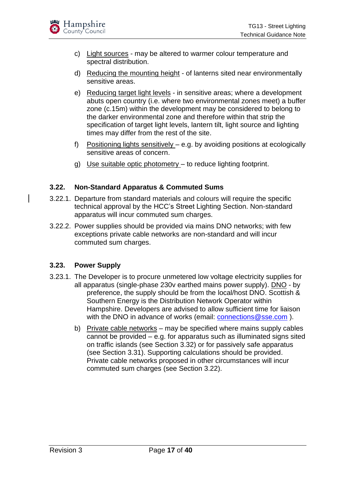

- c) Light sources may be altered to warmer colour temperature and spectral distribution.
- d) Reducing the mounting height of lanterns sited near environmentally sensitive areas.
- e) Reducing target light levels in sensitive areas; where a development abuts open country (i.e. where two environmental zones meet) a buffer zone (c.15m) within the development may be considered to belong to the darker environmental zone and therefore within that strip the specification of target light levels, lantern tilt, light source and lighting times may differ from the rest of the site.
- f) Positioning lights sensitively e.g. by avoiding positions at ecologically sensitive areas of concern.
- g) Use suitable optic photometry to reduce lighting footprint.

#### <span id="page-16-0"></span>**3.22. Non-Standard Apparatus & Commuted Sums**

- 3.22.1. Departure from standard materials and colours will require the specific technical approval by the HCC's Street Lighting Section. Non-standard apparatus will incur commuted sum charges.
- 3.22.2. Power supplies should be provided via mains DNO networks; with few exceptions private cable networks are non-standard and will incur commuted sum charges.

#### <span id="page-16-1"></span>**3.23. Power Supply**

- 3.23.1. The Developer is to procure unmetered low voltage electricity supplies for all apparatus (single-phase 230v earthed mains power supply). DNO - by preference, the supply should be from the local/host DNO. Scottish & Southern Energy is the Distribution Network Operator within Hampshire. Developers are advised to allow sufficient time for liaison with the DNO in advance of works (email: [connections@sse.com](mailto:connections@sse.com)).
	- b) Private cable networks may be specified where mains supply cables cannot be provided – e.g. for apparatus such as illuminated signs sited on traffic islands (see Section 3.32) or for passively safe apparatus (see Section 3.31). Supporting calculations should be provided. Private cable networks proposed in other circumstances will incur commuted sum charges (see Section 3.22).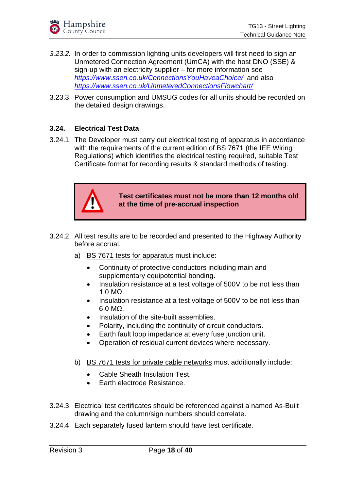

- *3.23.2.* In order to commission lighting units developers will first need to sign an Unmetered Connection Agreement (UmCA) with the host DNO (SSE) & sign-up with an electricity supplier – for more information see *<https://www.ssen.co.uk/ConnectionsYouHaveaChoice/>* and also *<https://www.ssen.co.uk/UnmeteredConnectionsFlowchart/>*
- 3.23.3. Power consumption and UMSUG codes for all units should be recorded on the detailed design drawings.

#### <span id="page-17-0"></span>**3.24. Electrical Test Data**

3.24.1. The Developer must carry out electrical testing of apparatus in accordance with the requirements of the current edition of BS 7671 (the IEE Wiring Regulations) which identifies the electrical testing required, suitable Test Certificate format for recording results & standard methods of testing.



**Test certificates must not be more than 12 months old at the time of pre-accrual inspection**

- 3.24.2. All test results are to be recorded and presented to the Highway Authority before accrual.
	- a) BS 7671 tests for apparatus must include:
		- Continuity of protective conductors including main and supplementary equipotential bonding.
		- Insulation resistance at a test voltage of 500V to be not less than 1.0 MΩ.
		- Insulation resistance at a test voltage of 500V to be not less than 6.0 MΩ.
		- Insulation of the site-built assemblies.
		- Polarity, including the continuity of circuit conductors.
		- Earth fault loop impedance at every fuse junction unit.
		- Operation of residual current devices where necessary.
	- b) BS 7671 tests for private cable networks must additionally include:
		- Cable Sheath Insulation Test.
		- Earth electrode Resistance.
- 3.24.3. Electrical test certificates should be referenced against a named As-Built drawing and the column/sign numbers should correlate.
- 3.24.4. Each separately fused lantern should have test certificate.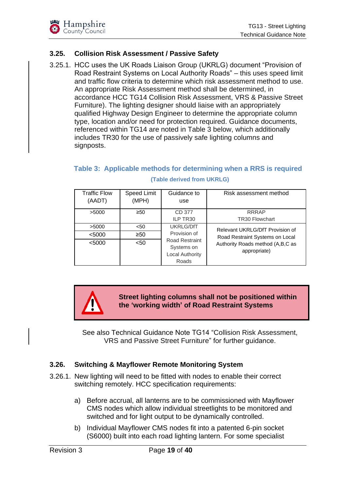#### <span id="page-18-0"></span>**3.25. Collision Risk Assessment / Passive Safety**

3.25.1. HCC uses the UK Roads Liaison Group (UKRLG) document "Provision of Road Restraint Systems on Local Authority Roads" – this uses speed limit and traffic flow criteria to determine which risk assessment method to use. An appropriate Risk Assessment method shall be determined, in accordance HCC TG14 Collision Risk Assessment, VRS & Passive Street Furniture). The lighting designer should liaise with an appropriately qualified Highway Design Engineer to determine the appropriate column type, location and/or need for protection required. Guidance documents, referenced within TG14 are noted in Table 3 below, which additionally includes TR30 for the use of passively safe lighting columns and signposts.

#### <span id="page-18-2"></span>**Table 3: Applicable methods for determining when a RRS is required (Table derived from UKRLG)**

| <b>Traffic Flow</b><br>(AADT) | Speed Limit<br>(MPH) | Guidance to<br>use                                                     | Risk assessment method                           |
|-------------------------------|----------------------|------------------------------------------------------------------------|--------------------------------------------------|
| >5000                         | ≥50                  | CD 377<br>ILP TR30                                                     | <b>RRRAP</b><br><b>TR30 Flowchart</b>            |
| >5000                         | $50$                 | <b>UKRLG/DfT</b>                                                       | Relevant UKRLG/DfT Provision of                  |
| < 5000                        | ≥50                  | Provision of                                                           | Road Restraint Systems on Local                  |
| < 5000                        | $<$ 50               | <b>Road Restraint</b><br>Systems on<br><b>Local Authority</b><br>Roads | Authority Roads method (A,B,C as<br>appropriate) |

**Street lighting columns shall not be positioned within the 'working width' of Road Restraint Systems**

See also Technical Guidance Note TG14 "Collision Risk Assessment, VRS and Passive Street Furniture" for further guidance.

#### <span id="page-18-1"></span>**3.26. Switching & Mayflower Remote Monitoring System**

- 3.26.1. New lighting will need to be fitted with nodes to enable their correct switching remotely. HCC specification requirements:
	- a) Before accrual, all lanterns are to be commissioned with Mayflower CMS nodes which allow individual streetlights to be monitored and switched and for light output to be dynamically controlled.
	- b) Individual Mayflower CMS nodes fit into a patented 6-pin socket (S6000) built into each road lighting lantern. For some specialist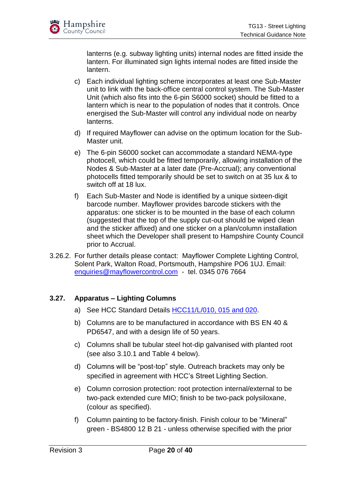lanterns (e.g. subway lighting units) internal nodes are fitted inside the lantern. For illuminated sign lights internal nodes are fitted inside the lantern.

- c) Each individual lighting scheme incorporates at least one Sub-Master unit to link with the back-office central control system. The Sub-Master Unit (which also fits into the 6-pin S6000 socket) should be fitted to a lantern which is near to the population of nodes that it controls. Once energised the Sub-Master will control any individual node on nearby lanterns.
- d) If required Mayflower can advise on the optimum location for the Sub-Master unit.
- e) The 6-pin S6000 socket can accommodate a standard NEMA-type photocell, which could be fitted temporarily, allowing installation of the Nodes & Sub-Master at a later date (Pre-Accrual); any conventional photocells fitted temporarily should be set to switch on at 35 lux & to switch off at 18 lux.
- f) Each Sub-Master and Node is identified by a unique sixteen-digit barcode number. Mayflower provides barcode stickers with the apparatus: one sticker is to be mounted in the base of each column (suggested that the top of the supply cut-out should be wiped clean and the sticker affixed) and one sticker on a plan/column installation sheet which the Developer shall present to Hampshire County Council prior to Accrual.
- 3.26.2. For further details please contact: Mayflower Complete Lighting Control, Solent Park, Walton Road, Portsmouth, Hampshire PO6 1UJ. Email: [enquiries@mayflowercontrol.com](mailto:enquiries@mayflowercontrol.com) - tel. 0345 076 7664

#### <span id="page-19-0"></span>**3.27. Apparatus – Lighting Columns**

- a) See HCC Standard Details [HCC11/L/010, 015 and 020.](https://www.hants.gov.uk/transport/developers/standard-details)
- b) Columns are to be manufactured in accordance with BS EN 40 & PD6547, and with a design life of 50 years.
- c) Columns shall be tubular steel hot-dip galvanised with planted root (see also 3.10.1 and Table 4 below).
- d) Columns will be "post-top" style. Outreach brackets may only be specified in agreement with HCC's Street Lighting Section.
- e) Column corrosion protection: root protection internal/external to be two-pack extended cure MIO; finish to be two-pack polysiloxane, (colour as specified).
- f) Column painting to be factory-finish. Finish colour to be "Mineral" green - BS4800 12 B 21 - unless otherwise specified with the prior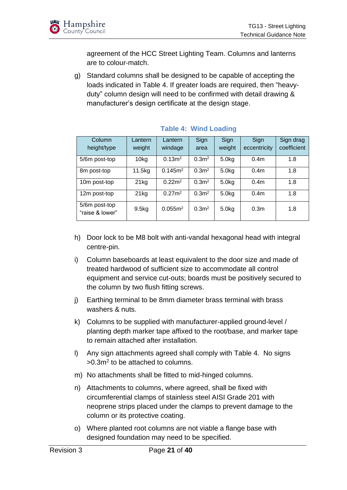

agreement of the HCC Street Lighting Team. Columns and lanterns are to colour-match.

g) Standard columns shall be designed to be capable of accepting the loads indicated in Table 4. If greater loads are required, then "heavyduty" column design will need to be confirmed with detail drawing & manufacturer's design certificate at the design stage.

| Column<br>height/type            | Lantern<br>weight | Lantern<br>windage  | Sign<br>area      | Sign<br>weight     | Sign<br>eccentricity | Sign drag<br>coefficient |
|----------------------------------|-------------------|---------------------|-------------------|--------------------|----------------------|--------------------------|
| 5/6m post-top                    | 10 <sub>kg</sub>  | 0.13 <sup>m²</sup>  | 0.3 <sup>m2</sup> | 5.0 <sub>kq</sub>  | 0.4 <sub>m</sub>     | 1.8                      |
| 8m post-top                      | 11.5kg            | 0.145m <sup>2</sup> | 0.3 <sup>m2</sup> | 5.0kg              | 0.4 <sub>m</sub>     | 1.8                      |
| 10m post-top                     | 21kg              | 0.22m <sup>2</sup>  | 0.3 <sup>m2</sup> | 5.0kg              | 0.4 <sub>m</sub>     | 1.8                      |
| 12m post-top                     | 21kg              | 0.27 <sup>m²</sup>  | 0.3 <sup>m2</sup> | 5.0 <sub>k</sub> g | 0.4 <sub>m</sub>     | 1.8                      |
| 5/6m post-top<br>"raise & lower" | 9.5kg             | 0.055m <sup>2</sup> | 0.3 <sup>m²</sup> | 5.0 <sub>kq</sub>  | 0.3 <sub>m</sub>     | 1.8                      |

#### <span id="page-20-0"></span>**Table 4: Wind Loading**

- h) Door lock to be M8 bolt with anti-vandal hexagonal head with integral centre-pin.
- i) Column baseboards at least equivalent to the door size and made of treated hardwood of sufficient size to accommodate all control equipment and service cut-outs; boards must be positively secured to the column by two flush fitting screws.
- j) Earthing terminal to be 8mm diameter brass terminal with brass washers & nuts.
- k) Columns to be supplied with manufacturer-applied ground-level / planting depth marker tape affixed to the root/base, and marker tape to remain attached after installation.
- l) Any sign attachments agreed shall comply with Table 4. No signs  $>0.3$ m<sup>2</sup> to be attached to columns.
- m) No attachments shall be fitted to mid-hinged columns.
- n) Attachments to columns, where agreed, shall be fixed with circumferential clamps of stainless steel AISI Grade 201 with neoprene strips placed under the clamps to prevent damage to the column or its protective coating.
- o) Where planted root columns are not viable a flange base with designed foundation may need to be specified.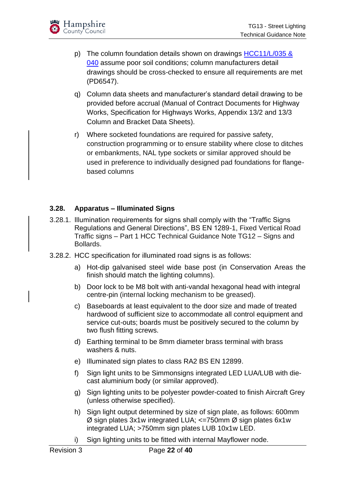

- p) The column foundation details shown on drawings HCC11/L/035 & [040](https://www.hants.gov.uk/transport/developers/standard-details) assume poor soil conditions; column manufacturers detail drawings should be cross-checked to ensure all requirements are met (PD6547).
- q) Column data sheets and manufacturer's standard detail drawing to be provided before accrual (Manual of Contract Documents for Highway Works, Specification for Highways Works, Appendix 13/2 and 13/3 Column and Bracket Data Sheets).
- r) Where socketed foundations are required for passive safety, construction programming or to ensure stability where close to ditches or embankments, NAL type sockets or similar approved should be used in preference to individually designed pad foundations for flangebased columns

#### <span id="page-21-0"></span>**3.28. Apparatus – Illuminated Signs**

- 3.28.1. Illumination requirements for signs shall comply with the "Traffic Signs Regulations and General Directions", BS EN 1289-1, Fixed Vertical Road Traffic signs – Part 1 HCC Technical Guidance Note TG12 – Signs and Bollards.
- 3.28.2. HCC specification for illuminated road signs is as follows:
	- a) Hot-dip galvanised steel wide base post (in Conservation Areas the finish should match the lighting columns).
	- b) Door lock to be M8 bolt with anti-vandal hexagonal head with integral centre-pin (internal locking mechanism to be greased).
	- c) Baseboards at least equivalent to the door size and made of treated hardwood of sufficient size to accommodate all control equipment and service cut-outs; boards must be positively secured to the column by two flush fitting screws.
	- d) Earthing terminal to be 8mm diameter brass terminal with brass washers & nuts.
	- e) Illuminated sign plates to class RA2 BS EN 12899.
	- f) Sign light units to be Simmonsigns integrated LED LUA/LUB with diecast aluminium body (or similar approved).
	- g) Sign lighting units to be polyester powder-coated to finish Aircraft Grey (unless otherwise specified).
	- h) Sign light output determined by size of sign plate, as follows: 600mm  $\varnothing$  sign plates 3x1w integrated LUA; <=750mm  $\varnothing$  sign plates 6x1w integrated LUA; >750mm sign plates LUB 10x1w LED.
	- i) Sign lighting units to be fitted with internal Mayflower node.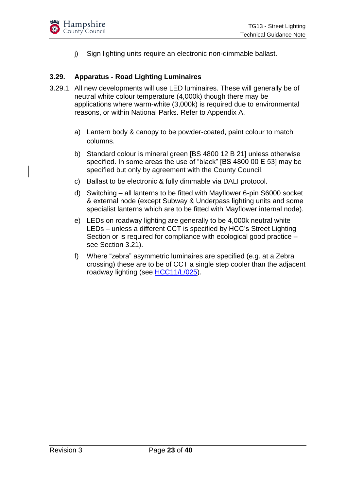

j) Sign lighting units require an electronic non-dimmable ballast.

#### <span id="page-22-0"></span>**3.29. Apparatus - Road Lighting Luminaires**

- 3.29.1. All new developments will use LED luminaires. These will generally be of neutral white colour temperature (4,000k) though there may be applications where warm-white (3,000k) is required due to environmental reasons, or within National Parks. Refer to Appendix A.
	- a) Lantern body & canopy to be powder-coated, paint colour to match columns.
	- b) Standard colour is mineral green [BS 4800 12 B 21] unless otherwise specified. In some areas the use of "black" [BS 4800 00 E 53] may be specified but only by agreement with the County Council.
	- c) Ballast to be electronic & fully dimmable via DALI protocol.
	- d) Switching all lanterns to be fitted with Mayflower 6-pin S6000 socket & external node (except Subway & Underpass lighting units and some specialist lanterns which are to be fitted with Mayflower internal node).
	- e) LEDs on roadway lighting are generally to be 4,000k neutral white LEDs – unless a different CCT is specified by HCC's Street Lighting Section or is required for compliance with ecological good practice – see Section 3.21).
	- f) Where "zebra" asymmetric luminaires are specified (e.g. at a Zebra crossing) these are to be of CCT a single step cooler than the adjacent roadway lighting (see [HCC11/L/025\)](https://www.hants.gov.uk/transport/developers/standard-details).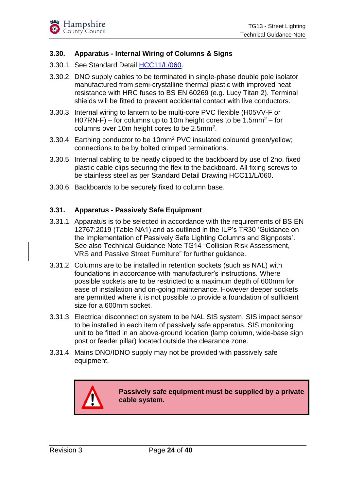#### <span id="page-23-0"></span>**3.30. Apparatus - Internal Wiring of Columns & Signs**

- 3.30.1. See Standard Detail [HCC11/L/060.](https://www.hants.gov.uk/transport/developers/standard-details)
- 3.30.2. DNO supply cables to be terminated in single-phase double pole isolator manufactured from semi-crystalline thermal plastic with improved heat resistance with HRC fuses to BS EN 60269 (e.g. Lucy Titan 2). Terminal shields will be fitted to prevent accidental contact with live conductors.
- 3.30.3. Internal wiring to lantern to be multi-core PVC flexible (H05VV-F or H07RN-F) – for columns up to 10m height cores to be 1.5mm<sup>2</sup> – for columns over 10m height cores to be  $2.5$ mm<sup>2</sup>.
- 3.30.4. Earthing conductor to be 10mm<sup>2</sup> PVC insulated coloured green/yellow; connections to be by bolted crimped terminations.
- 3.30.5. Internal cabling to be neatly clipped to the backboard by use of 2no. fixed plastic cable clips securing the flex to the backboard. All fixing screws to be stainless steel as per Standard Detail Drawing HCC11/L/060.
- 3.30.6. Backboards to be securely fixed to column base.

#### <span id="page-23-1"></span>**3.31. Apparatus - Passively Safe Equipment**

- 3.31.1. Apparatus is to be selected in accordance with the requirements of BS EN 12767:2019 (Table NA1) and as outlined in the ILP's TR30 'Guidance on the Implementation of Passively Safe Lighting Columns and Signposts'. See also Technical Guidance Note TG14 "Collision Risk Assessment, VRS and Passive Street Furniture" for further guidance.
- 3.31.2. Columns are to be installed in retention sockets (such as NAL) with foundations in accordance with manufacturer's instructions. Where possible sockets are to be restricted to a maximum depth of 600mm for ease of installation and on-going maintenance. However deeper sockets are permitted where it is not possible to provide a foundation of sufficient size for a 600mm socket.
- 3.31.3. Electrical disconnection system to be NAL SIS system. SIS impact sensor to be installed in each item of passively safe apparatus. SIS monitoring unit to be fitted in an above-ground location (lamp column, wide-base sign post or feeder pillar) located outside the clearance zone.
- 3.31.4. Mains DNO/IDNO supply may not be provided with passively safe equipment.

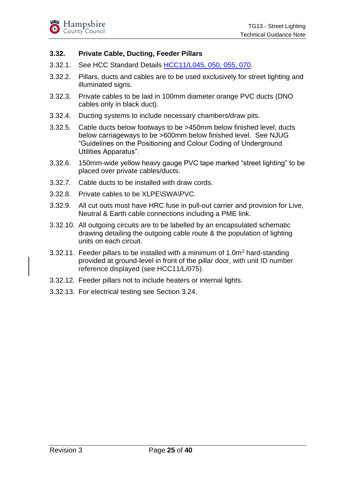#### <span id="page-24-0"></span>**3.32. Private Cable, Ducting, Feeder Pillars**

- 3.32.1. See HCC Standard Details [HCC11/L045, 050, 055, 070.](https://www.hants.gov.uk/transport/developers/standard-details)
- 3.32.2. Pillars, ducts and cables are to be used exclusively for street lighting and illuminated signs.
- 3.32.3. Private cables to be laid in 100mm diameter orange PVC ducts (DNO cables only in black duct).
- 3.32.4. Ducting systems to include necessary chambers/draw pits.
- 3.32.5. Cable ducts below footways to be >450mm below finished level; ducts below carriageways to be >600mm below finished level. See NJUG "Guidelines on the Positioning and Colour Coding of Underground Utilities Apparatus".
- 3.32.6. 150mm-wide yellow heavy gauge PVC tape marked "street lighting" to be placed over private cables/ducts.
- 3.32.7. Cable ducts to be installed with draw cords.
- 3.32.8. Private cables to be XLPE\SWA\PVC.
- 3.32.9. All cut outs must have HRC fuse in pull-out carrier and provision for Live, Neutral & Earth cable connections including a PME link.
- 3.32.10. All outgoing circuits are to be labelled by an encapsulated schematic drawing detailing the outgoing cable route & the population of lighting units on each circuit.
- 3.32.11. Feeder pillars to be installed with a minimum of  $1.0\,\mathrm{m}^2$  hard-standing provided at ground-level in front of the pillar door, with unit ID number reference displayed (see HCC11/L/075).
- 3.32.12. Feeder pillars not to include heaters or internal lights.
- 3.32.13. For electrical testing see Section 3.24.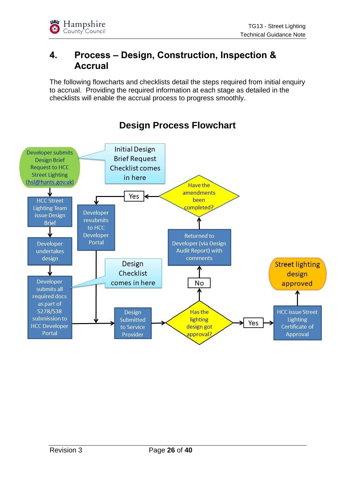## <span id="page-25-0"></span>**4. Process – Design, Construction, Inspection & Accrual**

The following flowcharts and checklists detail the steps required from initial enquiry to accrual. Providing the required information at each stage as detailed in the checklists will enable the accrual process to progress smoothly.



## **Design Process Flowchart**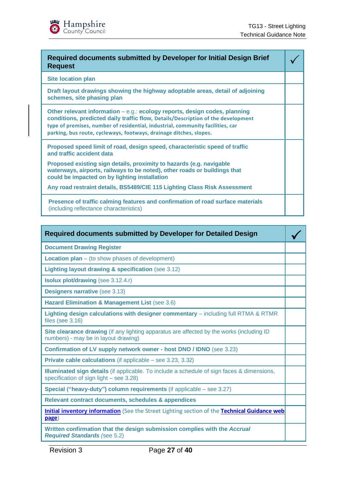| Required documents submitted by Developer for Initial Design Brief<br><b>Request</b>                                                                                                                                                                                                                                   |  |
|------------------------------------------------------------------------------------------------------------------------------------------------------------------------------------------------------------------------------------------------------------------------------------------------------------------------|--|
| <b>Site location plan</b>                                                                                                                                                                                                                                                                                              |  |
| Draft layout drawings showing the highway adoptable areas, detail of adjoining<br>schemes, site phasing plan                                                                                                                                                                                                           |  |
| Other relevant information – e.g.: ecology reports, design codes, planning<br>conditions, predicted daily traffic flow, Details/Description of the development<br>type of premises, number of residential, industrial, community facilities, car<br>parking, bus route, cycleways, footways, drainage ditches, slopes. |  |
| Proposed speed limit of road, design speed, characteristic speed of traffic<br>and traffic accident data                                                                                                                                                                                                               |  |
| Proposed existing sign details, proximity to hazards (e.g. navigable<br>waterways, airports, railways to be noted), other roads or buildings that<br>could be impacted on by lighting installation                                                                                                                     |  |
| Any road restraint details, BS5489/CIE 115 Lighting Class Risk Assessment                                                                                                                                                                                                                                              |  |
| Presence of traffic calming features and confirmation of road surface materials<br>(including reflectance characteristics)                                                                                                                                                                                             |  |

| <b>Required documents submitted by Developer for Detailed Design</b>                                                                         |  |
|----------------------------------------------------------------------------------------------------------------------------------------------|--|
| <b>Document Drawing Register</b>                                                                                                             |  |
| <b>Location plan</b> $-$ (to show phases of development)                                                                                     |  |
| Lighting layout drawing & specification (see 3.12)                                                                                           |  |
| <b>Isolux plot/drawing (see 3.12.4.r)</b>                                                                                                    |  |
| <b>Designers narrative (see 3.13)</b>                                                                                                        |  |
| Hazard Elimination & Management List (see 3.6)                                                                                               |  |
| Lighting design calculations with designer commentary - including full RTMA & RTMR<br>files (see $3.16$ )                                    |  |
| Site clearance drawing (if any lighting apparatus are affected by the works (including ID<br>numbers) - may be in layout drawing)            |  |
| Confirmation of LV supply network owner - host DNO / IDNO (see 3.23)                                                                         |  |
| <b>Private cable calculations</b> (if applicable – see 3.23, 3.32)                                                                           |  |
| <b>Illuminated sign details</b> (if applicable. To include a schedule of sign faces & dimensions,<br>specification of sign light - see 3.28) |  |
| Special ("heavy-duty") column requirements (if applicable – see 3.27)                                                                        |  |
| Relevant contract documents, schedules & appendices                                                                                          |  |
| Initial inventory information (See the Street Lighting section of the Technical Guidance web<br>page)                                        |  |
| Written confirmation that the design submission complies with the Accrual<br><b>Required Standards (see 5.2)</b>                             |  |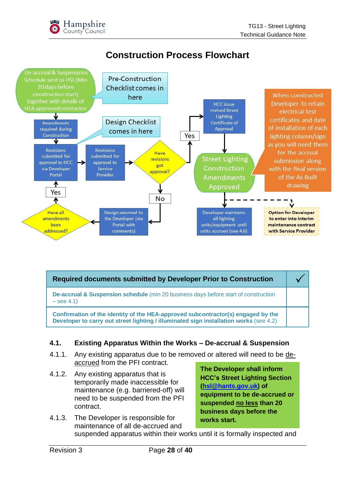

## **Construction Process Flowchart**



| <b>Required documents submitted by Developer Prior to Construction</b>                                                                                                     |  |  |
|----------------------------------------------------------------------------------------------------------------------------------------------------------------------------|--|--|
| <b>De-accrual &amp; Suspension schedule</b> (min 20 business days before start of construction<br>$-$ see 4.1)                                                             |  |  |
| Confirmation of the identity of the HEA-approved subcontractor(s) engaged by the<br>Developer to carry out street lighting / illuminated sign installation works (see 4.2) |  |  |

#### <span id="page-27-0"></span>**4.1. Existing Apparatus Within the Works – De-accrual & Suspension**

- 4.1.1. Any existing apparatus due to be removed or altered will need to be deaccrued from the PFI contract.
- 4.1.2. Any existing apparatus that is temporarily made inaccessible for maintenance (e.g. barriered-off) will need to be suspended from the PFI contract.

**The Developer shall inform HCC's Street Lighting Section [\(hsl@hants.gov.uk\)](mailto:hsl@hants.gov.uk) of equipment to be de-accrued or suspended no less than 20 business days before the** 

**works start.** 4.1.3. The Developer is responsible for maintenance of all de-accrued and suspended apparatus within their works until it is formally inspected and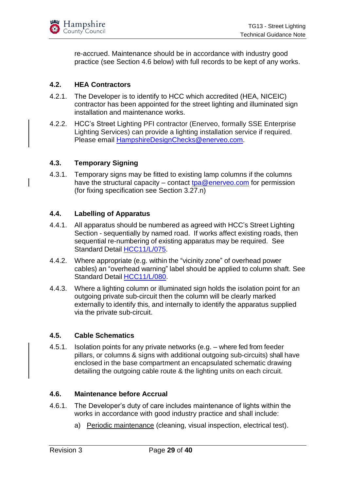

re-accrued. Maintenance should be in accordance with industry good practice (see Section 4.6 below) with full records to be kept of any works.

#### <span id="page-28-0"></span>**4.2. HEA Contractors**

- 4.2.1. The Developer is to identify to HCC which accredited (HEA, NICEIC) contractor has been appointed for the street lighting and illuminated sign installation and maintenance works.
- 4.2.2. HCC's Street Lighting PFI contractor (Enerveo, formally SSE Enterprise Lighting Services) can provide a lighting installation service if required. Please email [HampshireDesignChecks@enerveo.com.](mailto:HampshireDesignChecks@enerveo.com)

#### <span id="page-28-1"></span>**4.3. Temporary Signing**

4.3.1. Temporary signs may be fitted to existing lamp columns if the columns have the structural capacity – contact [tpa@enerveo.com](mailto:tpa@enerveo.com) for permission (for fixing specification see Section 3.27.n)

#### <span id="page-28-2"></span>**4.4. Labelling of Apparatus**

- 4.4.1. All apparatus should be numbered as agreed with HCC's Street Lighting Section - sequentially by named road. If works affect existing roads, then sequential re-numbering of existing apparatus may be required. See Standard Detail [HCC11/L/075.](https://www.hants.gov.uk/transport/developers/standard-details)
- 4.4.2. Where appropriate (e.g. within the "vicinity zone" of overhead power cables) an "overhead warning" label should be applied to column shaft. See Standard Detail [HCC11/L/080.](https://www.hants.gov.uk/transport/developers/standard-details)
- 4.4.3. Where a lighting column or illuminated sign holds the isolation point for an outgoing private sub-circuit then the column will be clearly marked externally to identify this, and internally to identify the apparatus supplied via the private sub-circuit.

#### <span id="page-28-3"></span>**4.5. Cable Schematics**

4.5.1. Isolation points for any private networks (e.g. – where fed from feeder pillars, or columns & signs with additional outgoing sub-circuits) shall have enclosed in the base compartment an encapsulated schematic drawing detailing the outgoing cable route & the lighting units on each circuit.

#### <span id="page-28-4"></span>**4.6. Maintenance before Accrual**

- 4.6.1. The Developer's duty of care includes maintenance of lights within the works in accordance with good industry practice and shall include:
	- a) Periodic maintenance (cleaning, visual inspection, electrical test).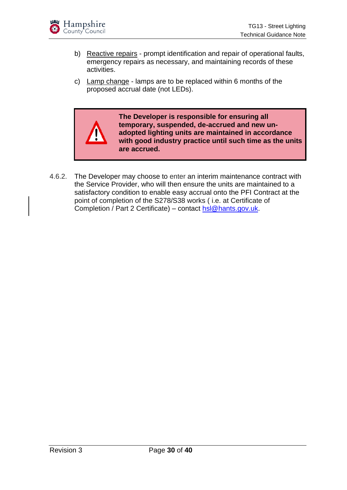

- b) Reactive repairs prompt identification and repair of operational faults, emergency repairs as necessary, and maintaining records of these activities.
- c) Lamp change lamps are to be replaced within 6 months of the proposed accrual date (not LEDs).



**The Developer is responsible for ensuring all temporary, suspended, de-accrued and new unadopted lighting units are maintained in accordance with good industry practice until such time as the units are accrued.**

4.6.2. The Developer may choose to enter an interim maintenance contract with the Service Provider, who will then ensure the units are maintained to a satisfactory condition to enable easy accrual onto the PFI Contract at the point of completion of the S278/S38 works ( i.e. at Certificate of Completion / Part 2 Certificate) – contact [hsl@hants.gov.uk.](mailto:hsl@hants.gov.uk)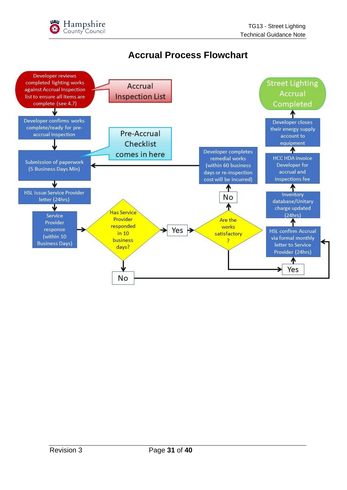## **Accrual Process Flowchart**

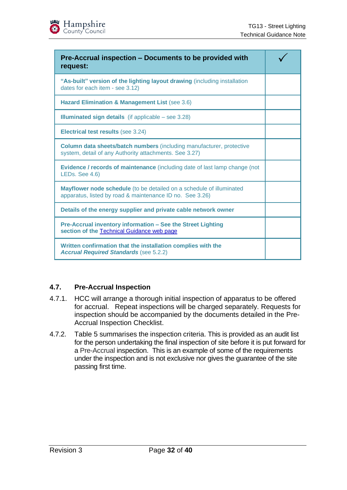| Hampshire<br>County Council |
|-----------------------------|
|                             |

| Pre-Accrual inspection – Documents to be provided with<br>request:                                                                    |  |
|---------------------------------------------------------------------------------------------------------------------------------------|--|
| "As-built" version of the lighting layout drawing (including installation<br>dates for each item - see 3.12)                          |  |
| Hazard Elimination & Management List (see 3.6)                                                                                        |  |
| <b>Illuminated sign details</b> (if applicable $-$ see 3.28)                                                                          |  |
| <b>Electrical test results (see 3.24)</b>                                                                                             |  |
| <b>Column data sheets/batch numbers (including manufacturer, protective</b><br>system, detail of any Authority attachments. See 3.27) |  |
| <b>Evidence / records of maintenance</b> (including date of last lamp change (not<br>LEDs. See 4.6)                                   |  |
| Mayflower node schedule (to be detailed on a schedule of illuminated<br>apparatus, listed by road & maintenance ID no. See 3.26)      |  |
| Details of the energy supplier and private cable network owner                                                                        |  |
| Pre-Accrual inventory information - See the Street Lighting<br>section of the Technical Guidance web page                             |  |
| Written confirmation that the installation complies with the<br><b>Accrual Required Standards (see 5.2.2)</b>                         |  |

#### <span id="page-31-0"></span>**4.7. Pre-Accrual Inspection**

- 4.7.1. HCC will arrange a thorough initial inspection of apparatus to be offered for accrual. Repeat inspections will be charged separately. Requests for inspection should be accompanied by the documents detailed in the Pre-Accrual Inspection Checklist.
- 4.7.2. Table 5 summarises the inspection criteria. This is provided as an audit list for the person undertaking the final inspection of site before it is put forward for a Pre-Accrual inspection. This is an example of some of the requirements under the inspection and is not exclusive nor gives the guarantee of the site passing first time.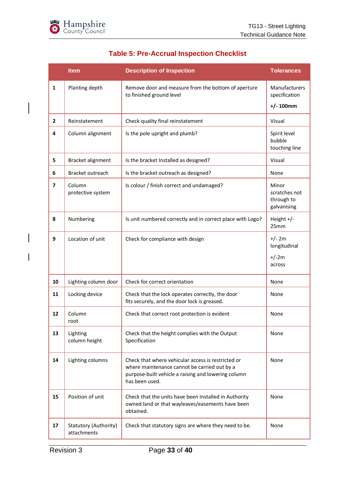

<span id="page-32-0"></span>

|              | <b>Item</b>                          | <b>Description of Inspection</b>                                                                                                                                            | <b>Tolerances</b>                                   |
|--------------|--------------------------------------|-----------------------------------------------------------------------------------------------------------------------------------------------------------------------------|-----------------------------------------------------|
| $\mathbf{1}$ | Planting depth                       | Remove door and measure from the bottom of aperture<br>to finished ground level                                                                                             | Manufacturers<br>specification<br>$+/- 100$ mm      |
| $\mathbf{2}$ | Reinstatement                        | Check quality final reinstatement                                                                                                                                           | Visual                                              |
| 4            | Column alignment                     | Is the pole upright and plumb?                                                                                                                                              | Spirit level<br>bubble<br>touching line             |
| 5            | Bracket alignment                    | Is the bracket Installed as designed?                                                                                                                                       | Visual                                              |
| 6            | Bracket outreach                     | Is the bracket outreach as designed?                                                                                                                                        | None                                                |
| 7            | Column<br>protective system          | Is colour / finish correct and undamaged?                                                                                                                                   | Minor<br>scratches not<br>through to<br>galvanising |
| 8            | Numbering                            | Is unit numbered correctly and in correct place with Logo?                                                                                                                  | Height $+/-$<br>25mm                                |
| 9            | Location of unit                     | Check for compliance with design                                                                                                                                            | $+/- 2m$<br>longitudinal<br>$+/-2m$<br>across       |
| 10           | Lighting column door                 | Check for correct orientation                                                                                                                                               | None                                                |
| 11           | Locking device                       | Check that the lock operates correctly, the door<br>fits securely, and the door lock is greased.                                                                            | None                                                |
| 12           | Column<br>root                       | Check that correct root protection is evident                                                                                                                               | None                                                |
| 13           | Lighting<br>column height            | Check that the height complies with the Output<br>Specification                                                                                                             | None                                                |
| 14           | Lighting columns                     | Check that where vehicular access is restricted or<br>where maintenance cannot be carried out by a<br>purpose-built vehicle a raising and lowering column<br>has been used. | None                                                |
| 15           | Position of unit                     | Check that the units have been Installed in Authority<br>owned land or that wayleaves/easements have been<br>obtained.                                                      | None                                                |
| 17           | Statutory (Authority)<br>attachments | Check that statutory signs are where they need to be.                                                                                                                       | None                                                |

#### **Table 5: Pre-Accrual Inspection Checklist**

 $\overline{\phantom{a}}$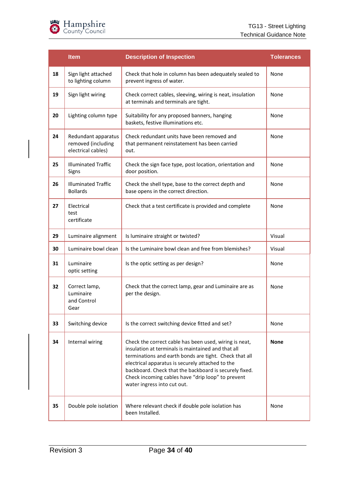

|    | <b>Item</b>                                                     | <b>Description of Inspection</b>                                                                                                                                                                                                                                                                                                                                         | <b>Tolerances</b> |
|----|-----------------------------------------------------------------|--------------------------------------------------------------------------------------------------------------------------------------------------------------------------------------------------------------------------------------------------------------------------------------------------------------------------------------------------------------------------|-------------------|
| 18 | Sign light attached<br>to lighting column                       | Check that hole in column has been adequately sealed to<br>prevent ingress of water.                                                                                                                                                                                                                                                                                     | None              |
| 19 | Sign light wiring                                               | Check correct cables, sleeving, wiring is neat, insulation<br>at terminals and terminals are tight.                                                                                                                                                                                                                                                                      | None              |
| 20 | Lighting column type                                            | Suitability for any proposed banners, hanging<br>baskets, festive illuminations etc.                                                                                                                                                                                                                                                                                     | None              |
| 24 | Redundant apparatus<br>removed (including<br>electrical cables) | Check redundant units have been removed and<br>that permanent reinstatement has been carried<br>out.                                                                                                                                                                                                                                                                     | None              |
| 25 | <b>Illuminated Traffic</b><br>Signs                             | Check the sign face type, post location, orientation and<br>door position.                                                                                                                                                                                                                                                                                               | None              |
| 26 | <b>Illuminated Traffic</b><br><b>Bollards</b>                   | Check the shell type, base to the correct depth and<br>base opens in the correct direction.                                                                                                                                                                                                                                                                              | None              |
| 27 | Electrical<br>test<br>certificate                               | Check that a test certificate is provided and complete                                                                                                                                                                                                                                                                                                                   | None              |
| 29 | Luminaire alignment                                             | Is luminaire straight or twisted?                                                                                                                                                                                                                                                                                                                                        | Visual            |
| 30 | Luminaire bowl clean                                            | Is the Luminaire bowl clean and free from blemishes?                                                                                                                                                                                                                                                                                                                     | Visual            |
| 31 | Luminaire<br>optic setting                                      | Is the optic setting as per design?                                                                                                                                                                                                                                                                                                                                      | None              |
| 32 | Correct lamp,<br>Luminaire<br>and Control<br>Gear               | Check that the correct lamp, gear and Luminaire are as<br>per the design.                                                                                                                                                                                                                                                                                                | None              |
| 33 | Switching device                                                | Is the correct switching device fitted and set?                                                                                                                                                                                                                                                                                                                          | None              |
| 34 | Internal wiring                                                 | Check the correct cable has been used, wiring is neat,<br>insulation at terminals is maintained and that all<br>terminations and earth bonds are tight. Check that all<br>electrical apparatus is securely attached to the<br>backboard. Check that the backboard is securely fixed.<br>Check incoming cables have "drip loop" to prevent<br>water ingress into cut out. | <b>None</b>       |
| 35 | Double pole isolation                                           | Where relevant check if double pole isolation has<br>been Installed.                                                                                                                                                                                                                                                                                                     | None              |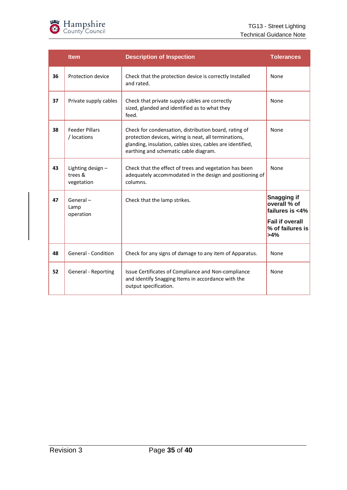

|    | <b>Item</b>                               | <b>Description of Inspection</b>                                                                                                                                                                                      | <b>Tolerances</b>                                                                                          |
|----|-------------------------------------------|-----------------------------------------------------------------------------------------------------------------------------------------------------------------------------------------------------------------------|------------------------------------------------------------------------------------------------------------|
| 36 | Protection device                         | Check that the protection device is correctly Installed<br>and rated.                                                                                                                                                 | None                                                                                                       |
| 37 | Private supply cables                     | Check that private supply cables are correctly<br>sized, glanded and identified as to what they<br>feed.                                                                                                              | None                                                                                                       |
| 38 | <b>Feeder Pillars</b><br>/ locations      | Check for condensation, distribution board, rating of<br>protection devices, wiring is neat, all terminations,<br>glanding, insulation, cables sizes, cables are identified,<br>earthing and schematic cable diagram. | None                                                                                                       |
| 43 | Lighting design-<br>trees &<br>vegetation | Check that the effect of trees and vegetation has been<br>adequately accommodated in the design and positioning of<br>columns.                                                                                        | None                                                                                                       |
| 47 | General-<br>Lamp<br>operation             | Check that the lamp strikes.                                                                                                                                                                                          | <b>Snagging if</b><br>overall % of<br>failures is <4%<br><b>Fail if overall</b><br>% of failures is<br>>4% |
| 48 | General - Condition                       | Check for any signs of damage to any item of Apparatus.                                                                                                                                                               | None                                                                                                       |
| 52 | General - Reporting                       | Issue Certificates of Compliance and Non-compliance<br>and identify Snagging Items in accordance with the<br>output specification.                                                                                    | None                                                                                                       |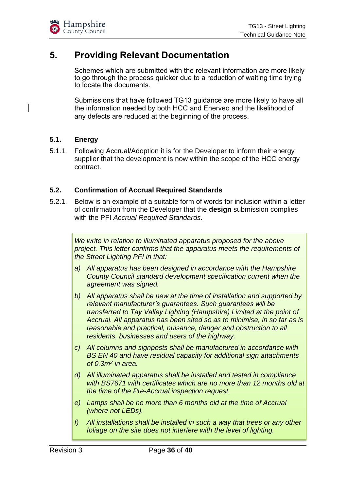## <span id="page-35-0"></span>**5. Providing Relevant Documentation**

Schemes which are submitted with the relevant information are more likely to go through the process quicker due to a reduction of waiting time trying to locate the documents.

Submissions that have followed TG13 guidance are more likely to have all the information needed by both HCC and Enerveo and the likelihood of any defects are reduced at the beginning of the process.

#### <span id="page-35-1"></span>**5.1. Energy**

5.1.1. Following Accrual/Adoption it is for the Developer to inform their energy supplier that the development is now within the scope of the HCC energy contract.

#### <span id="page-35-2"></span>**5.2. Confirmation of Accrual Required Standards**

5.2.1. Below is an example of a suitable form of words for inclusion within a letter of confirmation from the Developer that the **design** submission complies with the PFI *Accrual Required Standards.*

*We write in relation to illuminated apparatus proposed for the above project. This letter confirms that the apparatus meets the requirements of the Street Lighting PFI in that:*

- *a) All apparatus has been designed in accordance with the Hampshire County Council standard development specification current when the agreement was signed.*
- *b) All apparatus shall be new at the time of installation and supported by relevant manufacturer's guarantees. Such guarantees will be transferred to Tay Valley Lighting (Hampshire) Limited at the point of Accrual. All apparatus has been sited so as to minimise, in so far as is reasonable and practical, nuisance, danger and obstruction to all residents, businesses and users of the highway.*
- *c) All columns and signposts shall be manufactured in accordance with BS EN 40 and have residual capacity for additional sign attachments of 0.3m<sup>2</sup> in area.*
- *d) All illuminated apparatus shall be installed and tested in compliance with BS7671 with certificates which are no more than 12 months old at the time of the Pre-Accrual inspection request.*
- *e) Lamps shall be no more than 6 months old at the time of Accrual (where not LEDs).*
- *f) All installations shall be installed in such a way that trees or any other foliage on the site does not interfere with the level of lighting.*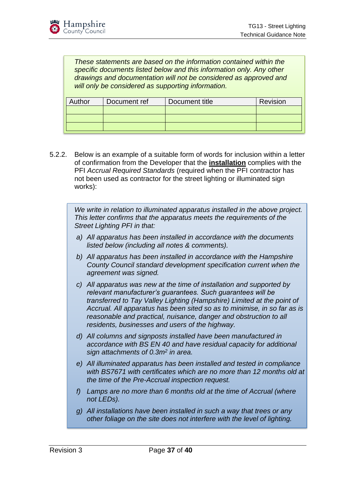*These statements are based on the information contained within the specific documents listed below and this information only. Any other drawings and documentation will not be considered as approved and will only be considered as supporting information.*

| Author | Document ref | Document title | Revision |
|--------|--------------|----------------|----------|
|        |              |                |          |
|        |              |                |          |
|        |              |                |          |

5.2.2. Below is an example of a suitable form of words for inclusion within a letter of confirmation from the Developer that the **installation** complies with the PFI *Accrual Required Standards* (required when the PFI contractor has not been used as contractor for the street lighting or illuminated sign works):

*We write in relation to illuminated apparatus installed in the above project. This letter confirms that the apparatus meets the requirements of the Street Lighting PFI in that:*

- *a) All apparatus has been installed in accordance with the documents listed below (including all notes & comments).*
- *b) All apparatus has been installed in accordance with the Hampshire County Council standard development specification current when the agreement was signed.*
- *c) All apparatus was new at the time of installation and supported by relevant manufacturer's guarantees. Such guarantees will be transferred to Tay Valley Lighting (Hampshire) Limited at the point of Accrual. All apparatus has been sited so as to minimise, in so far as is reasonable and practical, nuisance, danger and obstruction to all residents, businesses and users of the highway.*
- *d) All columns and signposts installed have been manufactured in accordance with BS EN 40 and have residual capacity for additional sign attachments of 0.3m<sup>2</sup> in area.*
- *e) All illuminated apparatus has been installed and tested in compliance with BS7671 with certificates which are no more than 12 months old at the time of the Pre-Accrual inspection request.*
- *f) Lamps are no more than 6 months old at the time of Accrual (where not LEDs).*
- *g) All installations have been installed in such a way that trees or any other foliage on the site does not interfere with the level of lighting.*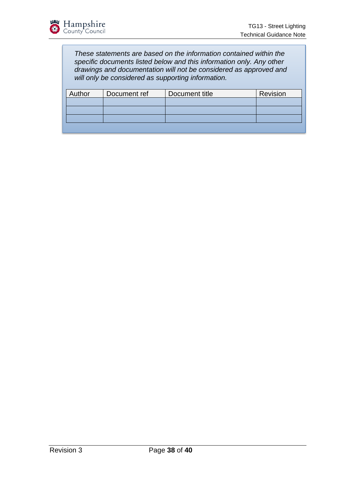*These statements are based on the information contained within the specific documents listed below and this information only. Any other drawings and documentation will not be considered as approved and will only be considered as supporting information.*

| Author | Document ref | Document title | Revision |
|--------|--------------|----------------|----------|
|        |              |                |          |
|        |              |                |          |
|        |              |                |          |
|        |              |                |          |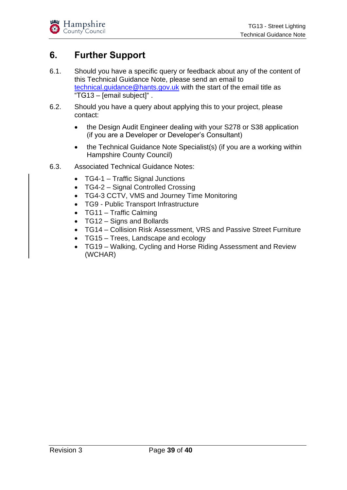## <span id="page-38-0"></span>**6. Further Support**

- 6.1. Should you have a specific query or feedback about any of the content of this Technical Guidance Note, please send an email to [technical.guidance@hants.gov.uk](mailto:technical.guidance@hants.gov.uk) with the start of the email title as "TG13 – [email subject]" .
- 6.2. Should you have a query about applying this to your project, please contact:
	- the Design Audit Engineer dealing with your S278 or S38 application (if you are a Developer or Developer's Consultant)
	- the Technical Guidance Note Specialist(s) (if you are a working within Hampshire County Council)
- 6.3. Associated Technical Guidance Notes:
	- TG4-1 Traffic Signal Junctions
	- TG4-2 Signal Controlled Crossing
	- TG4-3 CCTV, VMS and Journey Time Monitoring
	- TG9 Public Transport Infrastructure
	- TG11 Traffic Calming
	- TG12 Signs and Bollards
	- TG14 Collision Risk Assessment, VRS and Passive Street Furniture
	- TG15 Trees, Landscape and ecology
	- TG19 Walking, Cycling and Horse Riding Assessment and Review (WCHAR)